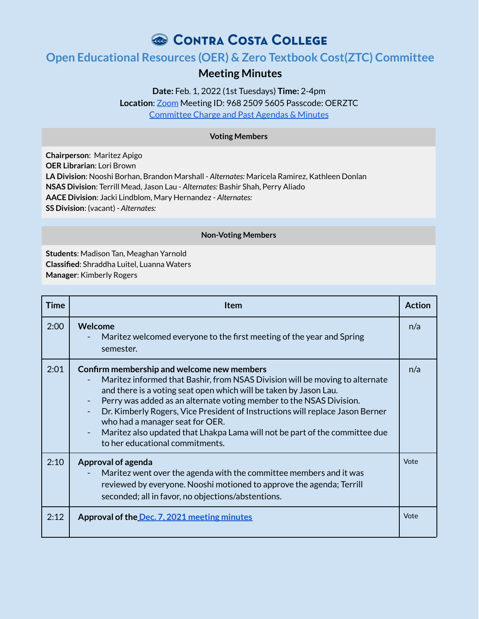# CONTRA COSTA COLLEGE

# **Open Educational Resources (OER) & Zero Textbook Cost(ZTC) Committee**

# **Meeting Minutes**

**Date:** Feb. 1, 2022 (1st Tuesdays) **Time:** 2-4pm **Location**: Zoom Meeting ID: 968 2509 5605 Passcode: OERZTC Committee Charge and Past Agendas & Minutes

#### **Voting Members**

**Chairperson**: Maritez Apigo **OER Librarian**: Lori Brown **LA Division**: Nooshi Borhan, Brandon Marshall - *Alternates:* Maricela Ramirez, Kathleen Donlan **NSAS Division**: Terrill Mead, Jason Lau - *Alternates:* Bashir Shah, Perry Aliado **AACE Division**: Jacki Lindblom, Mary Hernandez - *Alternates:* **SS Division**: (vacant) - *Alternates:*

#### **Non-Voting Members**

**Students**: Madison Tan, Meaghan Yarnold **Classified**: Shraddha Luitel, Luanna Waters **Manager**: Kimberly Rogers

| Time | <b>Item</b>                                                                                                                                                                                                                                                                                                                                                                                                                                                                                                  | <b>Action</b> |
|------|--------------------------------------------------------------------------------------------------------------------------------------------------------------------------------------------------------------------------------------------------------------------------------------------------------------------------------------------------------------------------------------------------------------------------------------------------------------------------------------------------------------|---------------|
| 2:00 | Welcome<br>Maritez welcomed everyone to the first meeting of the year and Spring<br>semester.                                                                                                                                                                                                                                                                                                                                                                                                                | n/a           |
| 2:01 | Confirm membership and welcome new members<br>Maritez informed that Bashir, from NSAS Division will be moving to alternate<br>and there is a voting seat open which will be taken by Jason Lau.<br>Perry was added as an alternate voting member to the NSAS Division.<br>Dr. Kimberly Rogers, Vice President of Instructions will replace Jason Berner<br>who had a manager seat for OER.<br>Maritez also updated that Lhakpa Lama will not be part of the committee due<br>to her educational commitments. | n/a           |
| 2:10 | <b>Approval of agenda</b><br>Maritez went over the agenda with the committee members and it was<br>reviewed by everyone. Nooshi motioned to approve the agenda; Terrill<br>seconded; all in favor, no objections/abstentions.                                                                                                                                                                                                                                                                                | Vote          |
| 2:12 | Approval of the Dec. 7, 2021 meeting minutes                                                                                                                                                                                                                                                                                                                                                                                                                                                                 | Vote          |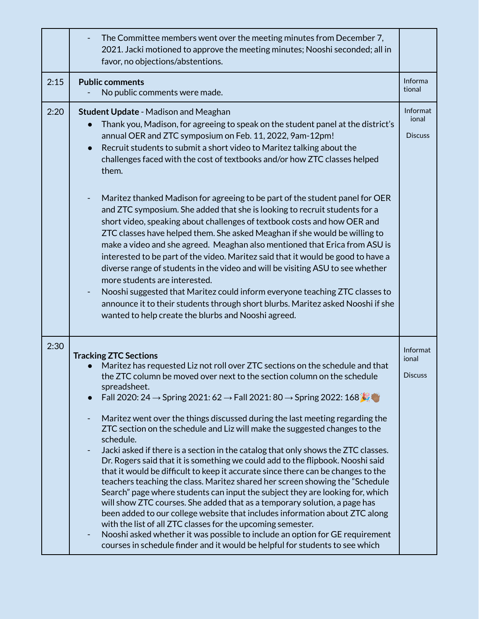|      | The Committee members went over the meeting minutes from December 7,<br>2021. Jacki motioned to approve the meeting minutes; Nooshi seconded; all in<br>favor, no objections/abstentions.                                                                                                                                                                                                                                                                                                                                                                                                                                                                                                                                                                                                                                                                                                                                                                                                                                                                                                                                                                                                                                                                                                                                      |                                     |
|------|--------------------------------------------------------------------------------------------------------------------------------------------------------------------------------------------------------------------------------------------------------------------------------------------------------------------------------------------------------------------------------------------------------------------------------------------------------------------------------------------------------------------------------------------------------------------------------------------------------------------------------------------------------------------------------------------------------------------------------------------------------------------------------------------------------------------------------------------------------------------------------------------------------------------------------------------------------------------------------------------------------------------------------------------------------------------------------------------------------------------------------------------------------------------------------------------------------------------------------------------------------------------------------------------------------------------------------|-------------------------------------|
| 2:15 | <b>Public comments</b><br>No public comments were made.                                                                                                                                                                                                                                                                                                                                                                                                                                                                                                                                                                                                                                                                                                                                                                                                                                                                                                                                                                                                                                                                                                                                                                                                                                                                        | Informa<br>tional                   |
| 2:20 | <b>Student Update - Madison and Meaghan</b><br>Thank you, Madison, for agreeing to speak on the student panel at the district's<br>annual OER and ZTC symposium on Feb. 11, 2022, 9am-12pm!<br>Recruit students to submit a short video to Maritez talking about the<br>challenges faced with the cost of textbooks and/or how ZTC classes helped<br>them.<br>Maritez thanked Madison for agreeing to be part of the student panel for OER<br>and ZTC symposium. She added that she is looking to recruit students for a<br>short video, speaking about challenges of textbook costs and how OER and<br>ZTC classes have helped them. She asked Meaghan if she would be willing to<br>make a video and she agreed. Meaghan also mentioned that Erica from ASU is<br>interested to be part of the video. Maritez said that it would be good to have a<br>diverse range of students in the video and will be visiting ASU to see whether<br>more students are interested.<br>Nooshi suggested that Maritez could inform everyone teaching ZTC classes to<br>announce it to their students through short blurbs. Maritez asked Nooshi if she<br>wanted to help create the blurbs and Nooshi agreed.                                                                                                                               | Informat<br>ional<br><b>Discuss</b> |
| 2:30 | <b>Tracking ZTC Sections</b><br>Maritez has requested Liz not roll over ZTC sections on the schedule and that<br>the ZTC column be moved over next to the section column on the schedule<br>spreadsheet.<br>Fall 2020: 24 $\rightarrow$ Spring 2021: 62 $\rightarrow$ Fall 2021: 80 $\rightarrow$ Spring 2022: 168<br>Maritez went over the things discussed during the last meeting regarding the<br>ZTC section on the schedule and Liz will make the suggested changes to the<br>schedule.<br>Jacki asked if there is a section in the catalog that only shows the ZTC classes.<br>-<br>Dr. Rogers said that it is something we could add to the flipbook. Nooshi said<br>that it would be difficult to keep it accurate since there can be changes to the<br>teachers teaching the class. Maritez shared her screen showing the "Schedule<br>Search" page where students can input the subject they are looking for, which<br>will show ZTC courses. She added that as a temporary solution, a page has<br>been added to our college website that includes information about ZTC along<br>with the list of all ZTC classes for the upcoming semester.<br>Nooshi asked whether it was possible to include an option for GE requirement<br>-<br>courses in schedule finder and it would be helpful for students to see which | Informat<br>ional<br><b>Discuss</b> |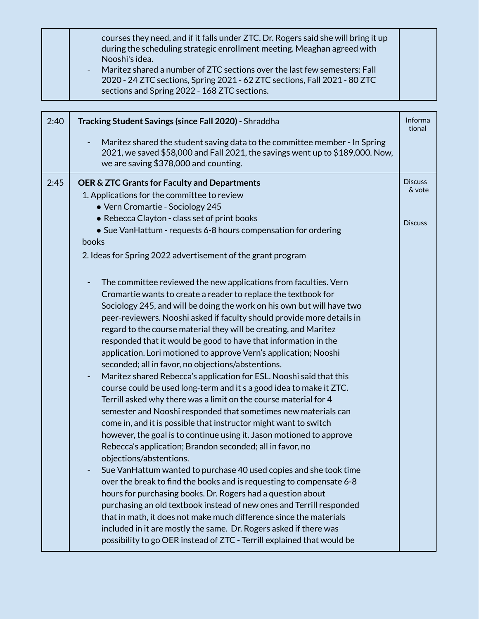|  | courses they need, and if it falls under ZTC. Dr. Rogers said she will bring it up<br>during the scheduling strategic enrollment meeting. Meaghan agreed with<br>Nooshi's idea.<br>- Maritez shared a number of ZTC sections over the last few semesters: Fall<br>2020 - 24 ZTC sections, Spring 2021 - 62 ZTC sections, Fall 2021 - 80 ZTC |  |
|--|---------------------------------------------------------------------------------------------------------------------------------------------------------------------------------------------------------------------------------------------------------------------------------------------------------------------------------------------|--|
|  | sections and Spring 2022 - 168 ZTC sections.                                                                                                                                                                                                                                                                                                |  |

| 2:40 | Tracking Student Savings (since Fall 2020) - Shraddha                                                                                                                                                                                                                                                                                                                                                                                                                                                                                                                                                                                                                                                                                                                                                                                                                                                                                                                                                                                                                                                                                                                                                                                        | Informa<br>tional                          |
|------|----------------------------------------------------------------------------------------------------------------------------------------------------------------------------------------------------------------------------------------------------------------------------------------------------------------------------------------------------------------------------------------------------------------------------------------------------------------------------------------------------------------------------------------------------------------------------------------------------------------------------------------------------------------------------------------------------------------------------------------------------------------------------------------------------------------------------------------------------------------------------------------------------------------------------------------------------------------------------------------------------------------------------------------------------------------------------------------------------------------------------------------------------------------------------------------------------------------------------------------------|--------------------------------------------|
|      | Maritez shared the student saving data to the committee member - In Spring<br>2021, we saved \$58,000 and Fall 2021, the savings went up to \$189,000. Now,<br>we are saving \$378,000 and counting.                                                                                                                                                                                                                                                                                                                                                                                                                                                                                                                                                                                                                                                                                                                                                                                                                                                                                                                                                                                                                                         |                                            |
| 2:45 | OER & ZTC Grants for Faculty and Departments<br>1. Applications for the committee to review<br>. Vern Cromartie - Sociology 245<br>• Rebecca Clayton - class set of print books<br>• Sue VanHattum - requests 6-8 hours compensation for ordering<br>books<br>2. Ideas for Spring 2022 advertisement of the grant program<br>The committee reviewed the new applications from faculties. Vern<br>Cromartie wants to create a reader to replace the textbook for<br>Sociology 245, and will be doing the work on his own but will have two<br>peer-reviewers. Nooshi asked if faculty should provide more details in<br>regard to the course material they will be creating, and Maritez<br>responded that it would be good to have that information in the<br>application. Lori motioned to approve Vern's application; Nooshi<br>seconded; all in favor, no objections/abstentions.<br>Maritez shared Rebecca's application for ESL. Nooshi said that this<br>course could be used long-term and it s a good idea to make it ZTC.<br>Terrill asked why there was a limit on the course material for 4<br>semester and Nooshi responded that sometimes new materials can<br>come in, and it is possible that instructor might want to switch | <b>Discuss</b><br>& vote<br><b>Discuss</b> |
|      | however, the goal is to continue using it. Jason motioned to approve<br>Rebecca's application; Brandon seconded; all in favor, no<br>objections/abstentions.<br>Sue Van Hattum wanted to purchase 40 used copies and she took time<br>over the break to find the books and is requesting to compensate 6-8<br>hours for purchasing books. Dr. Rogers had a question about<br>purchasing an old textbook instead of new ones and Terrill responded<br>that in math, it does not make much difference since the materials<br>included in it are mostly the same. Dr. Rogers asked if there was<br>possibility to go OER instead of ZTC - Terrill explained that would be                                                                                                                                                                                                                                                                                                                                                                                                                                                                                                                                                                       |                                            |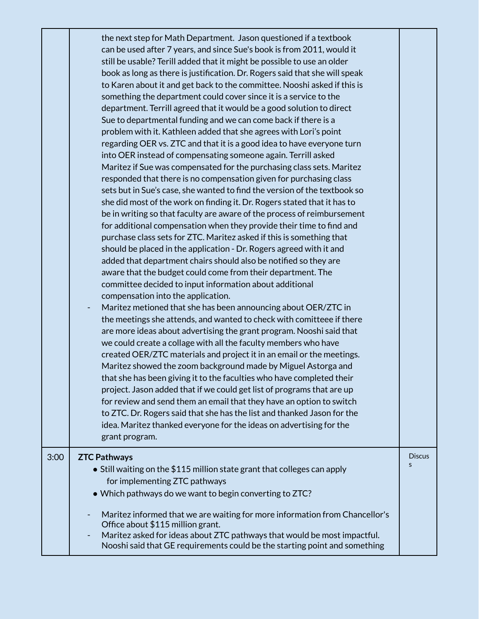|      | the next step for Math Department. Jason questioned if a textbook<br>can be used after 7 years, and since Sue's book is from 2011, would it<br>still be usable? Terill added that it might be possible to use an older<br>book as long as there is justification. Dr. Rogers said that she will speak<br>to Karen about it and get back to the committee. Nooshi asked if this is<br>something the department could cover since it is a service to the<br>department. Terrill agreed that it would be a good solution to direct<br>Sue to departmental funding and we can come back if there is a<br>problem with it. Kathleen added that she agrees with Lori's point<br>regarding OER vs. ZTC and that it is a good idea to have everyone turn<br>into OER instead of compensating someone again. Terrill asked<br>Maritez if Sue was compensated for the purchasing class sets. Maritez<br>responded that there is no compensation given for purchasing class<br>sets but in Sue's case, she wanted to find the version of the textbook so<br>she did most of the work on finding it. Dr. Rogers stated that it has to<br>be in writing so that faculty are aware of the process of reimbursement<br>for additional compensation when they provide their time to find and<br>purchase class sets for ZTC. Maritez asked if this is something that<br>should be placed in the application - Dr. Rogers agreed with it and<br>added that department chairs should also be notified so they are<br>aware that the budget could come from their department. The<br>committee decided to input information about additional<br>compensation into the application.<br>Maritez metioned that she has been announcing about OER/ZTC in<br>the meetings she attends, and wanted to check with comitteee if there<br>are more ideas about advertising the grant program. Nooshi said that<br>we could create a collage with all the faculty members who have<br>created OER/ZTC materials and project it in an email or the meetings.<br>Maritez showed the zoom background made by Miguel Astorga and<br>that she has been giving it to the faculties who have completed their<br>project. Jason added that if we could get list of programs that are up<br>for review and send them an email that they have an option to switch<br>to ZTC. Dr. Rogers said that she has the list and thanked Jason for the<br>idea. Maritez thanked everyone for the ideas on advertising for the<br>grant program. |                    |
|------|------------------------------------------------------------------------------------------------------------------------------------------------------------------------------------------------------------------------------------------------------------------------------------------------------------------------------------------------------------------------------------------------------------------------------------------------------------------------------------------------------------------------------------------------------------------------------------------------------------------------------------------------------------------------------------------------------------------------------------------------------------------------------------------------------------------------------------------------------------------------------------------------------------------------------------------------------------------------------------------------------------------------------------------------------------------------------------------------------------------------------------------------------------------------------------------------------------------------------------------------------------------------------------------------------------------------------------------------------------------------------------------------------------------------------------------------------------------------------------------------------------------------------------------------------------------------------------------------------------------------------------------------------------------------------------------------------------------------------------------------------------------------------------------------------------------------------------------------------------------------------------------------------------------------------------------------------------------------------------------------------------------------------------------------------------------------------------------------------------------------------------------------------------------------------------------------------------------------------------------------------------------------------------------------------------------------------------------------------------------------------------------------------------------------------------------------------------------------------------------------|--------------------|
| 3:00 | <b>ZTC Pathways</b><br>$\bullet$ Still waiting on the \$115 million state grant that colleges can apply<br>for implementing ZTC pathways<br>. Which pathways do we want to begin converting to ZTC?<br>Maritez informed that we are waiting for more information from Chancellor's                                                                                                                                                                                                                                                                                                                                                                                                                                                                                                                                                                                                                                                                                                                                                                                                                                                                                                                                                                                                                                                                                                                                                                                                                                                                                                                                                                                                                                                                                                                                                                                                                                                                                                                                                                                                                                                                                                                                                                                                                                                                                                                                                                                                             | <b>Discus</b><br>S |
|      | Office about \$115 million grant.<br>Maritez asked for ideas about ZTC pathways that would be most impactful.<br>Nooshi said that GE requirements could be the starting point and something                                                                                                                                                                                                                                                                                                                                                                                                                                                                                                                                                                                                                                                                                                                                                                                                                                                                                                                                                                                                                                                                                                                                                                                                                                                                                                                                                                                                                                                                                                                                                                                                                                                                                                                                                                                                                                                                                                                                                                                                                                                                                                                                                                                                                                                                                                    |                    |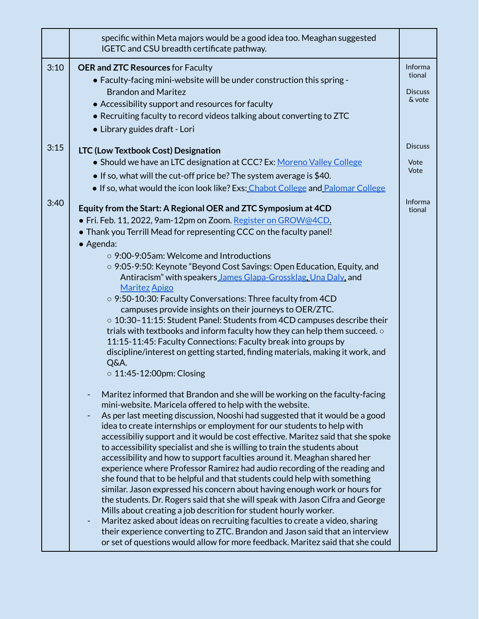|      | specific within Meta majors would be a good idea too. Meaghan suggested<br>IGETC and CSU breadth certificate pathway.                                          |                   |
|------|----------------------------------------------------------------------------------------------------------------------------------------------------------------|-------------------|
| 3:10 | <b>OER and ZTC Resources for Faculty</b><br>• Faculty-facing mini-website will be under construction this spring -                                             | Informa<br>tional |
|      | <b>Brandon and Maritez</b>                                                                                                                                     | <b>Discuss</b>    |
|      | • Accessibility support and resources for faculty                                                                                                              | & vote            |
|      | • Recruiting faculty to record videos talking about converting to ZTC                                                                                          |                   |
|      | • Library guides draft - Lori                                                                                                                                  |                   |
| 3:15 | LTC (Low Textbook Cost) Designation                                                                                                                            | <b>Discuss</b>    |
|      | • Should we have an LTC designation at CCC? Ex: Moreno Valley College                                                                                          | Vote              |
|      | • If so, what will the cut-off price be? The system average is $$40$ .                                                                                         | Vote              |
|      | • If so, what would the icon look like? Exs: Chabot College and Palomar College                                                                                |                   |
| 3:40 |                                                                                                                                                                | Informa           |
|      | Equity from the Start: A Regional OER and ZTC Symposium at 4CD                                                                                                 | tional            |
|      | • Fri. Feb. 11, 2022, 9am-12pm on Zoom. Register on GROW@4CD.                                                                                                  |                   |
|      | • Thank you Terrill Mead for representing CCC on the faculty panel!<br>• Agenda:                                                                               |                   |
|      | ○ 9:00-9:05am: Welcome and Introductions                                                                                                                       |                   |
|      | $\circ$ 9:05-9:50: Keynote "Beyond Cost Savings: Open Education, Equity, and                                                                                   |                   |
|      | Antiracism" with speakers James Glapa-Grossklag, Una Daly, and<br><b>Maritez Apigo</b>                                                                         |                   |
|      | $\circ$ 9:50-10:30: Faculty Conversations: Three faculty from 4CD                                                                                              |                   |
|      | campuses provide insights on their journeys to OER/ZTC.                                                                                                        |                   |
|      | $\circ$ 10:30-11:15: Student Panel: Students from 4CD campuses describe their                                                                                  |                   |
|      | trials with textbooks and inform faculty how they can help them succeed. $\circ$<br>11:15-11:45: Faculty Connections: Faculty break into groups by             |                   |
|      | discipline/interest on getting started, finding materials, making it work, and                                                                                 |                   |
|      | Q&A.                                                                                                                                                           |                   |
|      | $\circ$ 11:45-12:00pm: Closing                                                                                                                                 |                   |
|      | Maritez informed that Brandon and she will be working on the faculty-facing                                                                                    |                   |
|      | mini-website. Maricela offered to help with the website.<br>As per last meeting discussion, Nooshi had suggested that it would be a good                       |                   |
|      | idea to create internships or employment for our students to help with                                                                                         |                   |
|      | accessibiliy support and it would be cost effective. Maritez said that she spoke                                                                               |                   |
|      | to accessibility specialist and she is willing to train the students about                                                                                     |                   |
|      | accessibility and how to support faculties around it. Meaghan shared her                                                                                       |                   |
|      | experience where Professor Ramirez had audio recording of the reading and<br>she found that to be helpful and that students could help with something          |                   |
|      | similar. Jason expressed his concern about having enough work or hours for                                                                                     |                   |
|      | the students. Dr. Rogers said that she will speak with Jason Cifra and George                                                                                  |                   |
|      | Mills about creating a job descrition for student hourly worker.                                                                                               |                   |
|      | Maritez asked about ideas on recruiting faculties to create a video, sharing                                                                                   |                   |
|      | their experience converting to ZTC. Brandon and Jason said that an interview<br>or set of questions would allow for more feedback. Maritez said that she could |                   |
|      |                                                                                                                                                                |                   |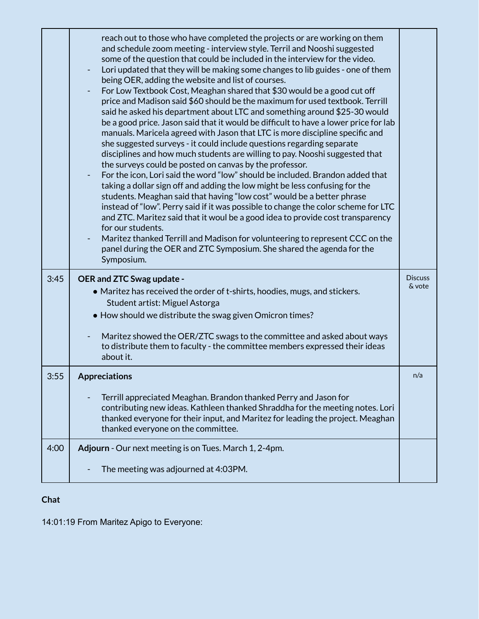|      | reach out to those who have completed the projects or are working on them<br>and schedule zoom meeting - interview style. Terril and Nooshi suggested<br>some of the question that could be included in the interview for the video.<br>Lori updated that they will be making some changes to lib guides - one of them<br>being OER, adding the website and list of courses.<br>For Low Textbook Cost, Meaghan shared that \$30 would be a good cut off<br>price and Madison said \$60 should be the maximum for used textbook. Terrill<br>said he asked his department about LTC and something around \$25-30 would<br>be a good price. Jason said that it would be difficult to have a lower price for lab<br>manuals. Maricela agreed with Jason that LTC is more discipline specific and<br>she suggested surveys - it could include questions regarding separate<br>disciplines and how much students are willing to pay. Nooshi suggested that<br>the surveys could be posted on canvas by the professor.<br>For the icon, Lori said the word "low" should be included. Brandon added that<br>taking a dollar sign off and adding the low might be less confusing for the<br>students. Meaghan said that having "low cost" would be a better phrase<br>instead of "low". Perry said if it was possible to change the color scheme for LTC<br>and ZTC. Maritez said that it woul be a good idea to provide cost transparency<br>for our students.<br>Maritez thanked Terrill and Madison for volunteering to represent CCC on the<br>panel during the OER and ZTC Symposium. She shared the agenda for the<br>Symposium. |                          |
|------|-------------------------------------------------------------------------------------------------------------------------------------------------------------------------------------------------------------------------------------------------------------------------------------------------------------------------------------------------------------------------------------------------------------------------------------------------------------------------------------------------------------------------------------------------------------------------------------------------------------------------------------------------------------------------------------------------------------------------------------------------------------------------------------------------------------------------------------------------------------------------------------------------------------------------------------------------------------------------------------------------------------------------------------------------------------------------------------------------------------------------------------------------------------------------------------------------------------------------------------------------------------------------------------------------------------------------------------------------------------------------------------------------------------------------------------------------------------------------------------------------------------------------------------------------------------------------------------------------------------------------------|--------------------------|
| 3:45 | OER and ZTC Swag update -<br>• Maritez has received the order of t-shirts, hoodies, mugs, and stickers.                                                                                                                                                                                                                                                                                                                                                                                                                                                                                                                                                                                                                                                                                                                                                                                                                                                                                                                                                                                                                                                                                                                                                                                                                                                                                                                                                                                                                                                                                                                       | <b>Discuss</b><br>& vote |
|      | Student artist: Miguel Astorga                                                                                                                                                                                                                                                                                                                                                                                                                                                                                                                                                                                                                                                                                                                                                                                                                                                                                                                                                                                                                                                                                                                                                                                                                                                                                                                                                                                                                                                                                                                                                                                                |                          |
|      | • How should we distribute the swag given Omicron times?                                                                                                                                                                                                                                                                                                                                                                                                                                                                                                                                                                                                                                                                                                                                                                                                                                                                                                                                                                                                                                                                                                                                                                                                                                                                                                                                                                                                                                                                                                                                                                      |                          |
|      | Maritez showed the OER/ZTC swags to the committee and asked about ways<br>to distribute them to faculty - the committee members expressed their ideas<br>about it.                                                                                                                                                                                                                                                                                                                                                                                                                                                                                                                                                                                                                                                                                                                                                                                                                                                                                                                                                                                                                                                                                                                                                                                                                                                                                                                                                                                                                                                            |                          |
| 3:55 | <b>Appreciations</b>                                                                                                                                                                                                                                                                                                                                                                                                                                                                                                                                                                                                                                                                                                                                                                                                                                                                                                                                                                                                                                                                                                                                                                                                                                                                                                                                                                                                                                                                                                                                                                                                          | n/a                      |
|      | Terrill appreciated Meaghan. Brandon thanked Perry and Jason for<br>contributing new ideas. Kathleen thanked Shraddha for the meeting notes. Lori<br>thanked everyone for their input, and Maritez for leading the project. Meaghan<br>thanked everyone on the committee.                                                                                                                                                                                                                                                                                                                                                                                                                                                                                                                                                                                                                                                                                                                                                                                                                                                                                                                                                                                                                                                                                                                                                                                                                                                                                                                                                     |                          |
| 4:00 | Adjourn - Our next meeting is on Tues. March 1, 2-4pm.                                                                                                                                                                                                                                                                                                                                                                                                                                                                                                                                                                                                                                                                                                                                                                                                                                                                                                                                                                                                                                                                                                                                                                                                                                                                                                                                                                                                                                                                                                                                                                        |                          |
|      | The meeting was adjourned at 4:03PM.                                                                                                                                                                                                                                                                                                                                                                                                                                                                                                                                                                                                                                                                                                                                                                                                                                                                                                                                                                                                                                                                                                                                                                                                                                                                                                                                                                                                                                                                                                                                                                                          |                          |

## **Chat**

14:01:19 From Maritez Apigo to Everyone: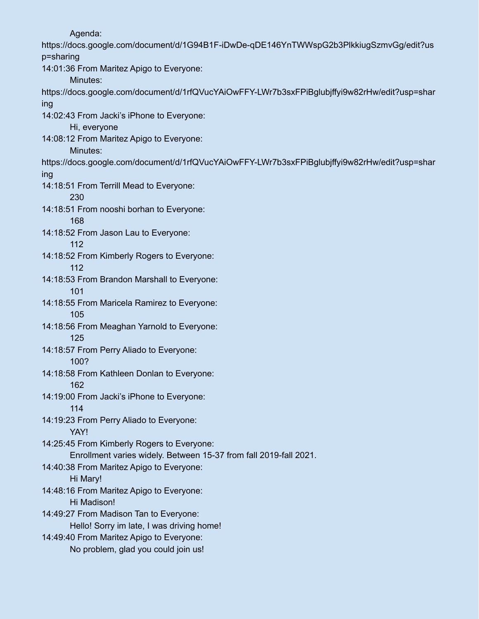Agenda:

https://docs.google.com/document/d/1G94B1F-iDwDe-qDE146YnTWWspG2b3PlkkiugSzmvGg/edit?us p=sharing 14:01:36 From Maritez Apigo to Everyone:

Minutes:

https://docs.google.com/document/d/1rfQVucYAiOwFFY-LWr7b3sxFPiBglubjffyi9w82rHw/edit?usp=shar ing

14:02:43 From Jacki's iPhone to Everyone:

Hi, everyone

14:08:12 From Maritez Apigo to Everyone:

Minutes:

https://docs.google.com/document/d/1rfQVucYAiOwFFY-LWr7b3sxFPiBglubjffyi9w82rHw/edit?usp=shar ing

14:18:51 From Terrill Mead to Everyone:

230

14:18:51 From nooshi borhan to Everyone: 168

14:18:52 From Jason Lau to Everyone: 112

14:18:52 From Kimberly Rogers to Everyone: 112

14:18:53 From Brandon Marshall to Everyone: 101

14:18:55 From Maricela Ramirez to Everyone: 105

14:18:56 From Meaghan Yarnold to Everyone: 125

14:18:57 From Perry Aliado to Everyone: 100?

- 14:18:58 From Kathleen Donlan to Everyone: 162
- 14:19:00 From Jacki's iPhone to Everyone: 114
- 14:19:23 From Perry Aliado to Everyone: YAY!
- 14:25:45 From Kimberly Rogers to Everyone: Enrollment varies widely. Between 15-37 from fall 2019-fall 2021.
- 14:40:38 From Maritez Apigo to Everyone: Hi Mary!
- 14:48:16 From Maritez Apigo to Everyone: Hi Madison!
- 14:49:27 From Madison Tan to Everyone: Hello! Sorry im late, I was driving home!

14:49:40 From Maritez Apigo to Everyone: No problem, glad you could join us!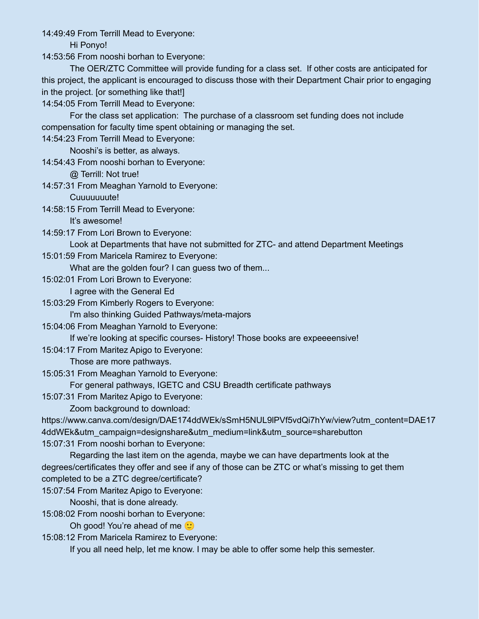14:49:49 From Terrill Mead to Everyone:

Hi Ponyo!

14:53:56 From nooshi borhan to Everyone:

The OER/ZTC Committee will provide funding for a class set. If other costs are anticipated for this project, the applicant is encouraged to discuss those with their Department Chair prior to engaging in the project. [or something like that!]

14:54:05 From Terrill Mead to Everyone:

For the class set application: The purchase of a classroom set funding does not include compensation for faculty time spent obtaining or managing the set.

14:54:23 From Terrill Mead to Everyone:

Nooshi's is better, as always.

14:54:43 From nooshi borhan to Everyone:

@ Terrill: Not true!

14:57:31 From Meaghan Yarnold to Everyone:

Cuuuuuuute!

14:58:15 From Terrill Mead to Everyone:

It's awesome!

14:59:17 From Lori Brown to Everyone:

Look at Departments that have not submitted for ZTC- and attend Department Meetings

15:01:59 From Maricela Ramirez to Everyone:

What are the golden four? I can guess two of them...

15:02:01 From Lori Brown to Everyone:

I agree with the General Ed

15:03:29 From Kimberly Rogers to Everyone:

I'm also thinking Guided Pathways/meta-majors

15:04:06 From Meaghan Yarnold to Everyone:

If we're looking at specific courses- History! Those books are expeeeensive!

15:04:17 From Maritez Apigo to Everyone:

Those are more pathways.

15:05:31 From Meaghan Yarnold to Everyone:

For general pathways, IGETC and CSU Breadth certificate pathways

15:07:31 From Maritez Apigo to Everyone:

Zoom background to download:

https://www.canva.com/design/DAE174ddWEk/sSmH5NUL9lPVf5vdQi7hYw/view?utm\_content=DAE17 4ddWEk&utm\_campaign=designshare&utm\_medium=link&utm\_source=sharebutton

15:07:31 From nooshi borhan to Everyone:

Regarding the last item on the agenda, maybe we can have departments look at the degrees/certificates they offer and see if any of those can be ZTC or what's missing to get them completed to be a ZTC degree/certificate?

15:07:54 From Maritez Apigo to Everyone:

Nooshi, that is done already.

15:08:02 From nooshi borhan to Everyone:

Oh good! You're ahead of me  $\ddot{\cdot}$ 

15:08:12 From Maricela Ramirez to Everyone:

If you all need help, let me know. I may be able to offer some help this semester.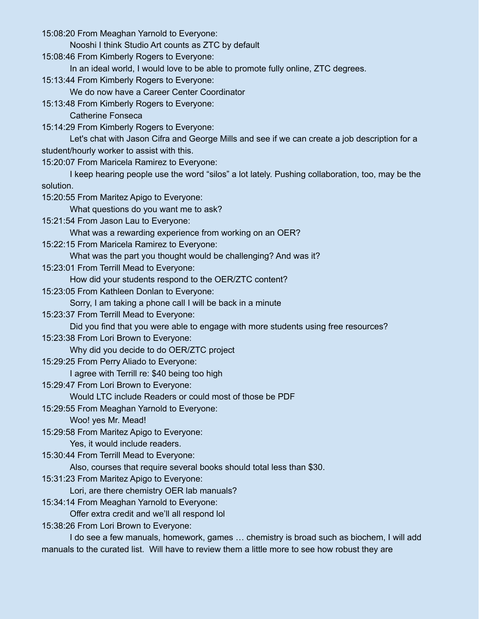15:08:20 From Meaghan Yarnold to Everyone:

Nooshi I think Studio Art counts as ZTC by default

15:08:46 From Kimberly Rogers to Everyone:

In an ideal world, I would love to be able to promote fully online, ZTC degrees.

15:13:44 From Kimberly Rogers to Everyone:

We do now have a Career Center Coordinator

15:13:48 From Kimberly Rogers to Everyone:

Catherine Fonseca

15:14:29 From Kimberly Rogers to Everyone:

Let's chat with Jason Cifra and George Mills and see if we can create a job description for a student/hourly worker to assist with this.

15:20:07 From Maricela Ramirez to Everyone:

I keep hearing people use the word "silos" a lot lately. Pushing collaboration, too, may be the solution.

15:20:55 From Maritez Apigo to Everyone:

What questions do you want me to ask?

15:21:54 From Jason Lau to Everyone:

What was a rewarding experience from working on an OER?

15:22:15 From Maricela Ramirez to Everyone:

What was the part you thought would be challenging? And was it?

15:23:01 From Terrill Mead to Everyone:

How did your students respond to the OER/ZTC content?

15:23:05 From Kathleen Donlan to Everyone:

Sorry, I am taking a phone call I will be back in a minute

15:23:37 From Terrill Mead to Everyone:

Did you find that you were able to engage with more students using free resources?

15:23:38 From Lori Brown to Everyone:

Why did you decide to do OER/ZTC project

15:29:25 From Perry Aliado to Everyone:

I agree with Terrill re: \$40 being too high

15:29:47 From Lori Brown to Everyone:

Would LTC include Readers or could most of those be PDF

15:29:55 From Meaghan Yarnold to Everyone:

### Woo! yes Mr. Mead!

15:29:58 From Maritez Apigo to Everyone:

Yes, it would include readers.

15:30:44 From Terrill Mead to Everyone:

Also, courses that require several books should total less than \$30.

15:31:23 From Maritez Apigo to Everyone:

Lori, are there chemistry OER lab manuals?

15:34:14 From Meaghan Yarnold to Everyone:

Offer extra credit and we'll all respond lol

15:38:26 From Lori Brown to Everyone:

I do see a few manuals, homework, games … chemistry is broad such as biochem, I will add manuals to the curated list. Will have to review them a little more to see how robust they are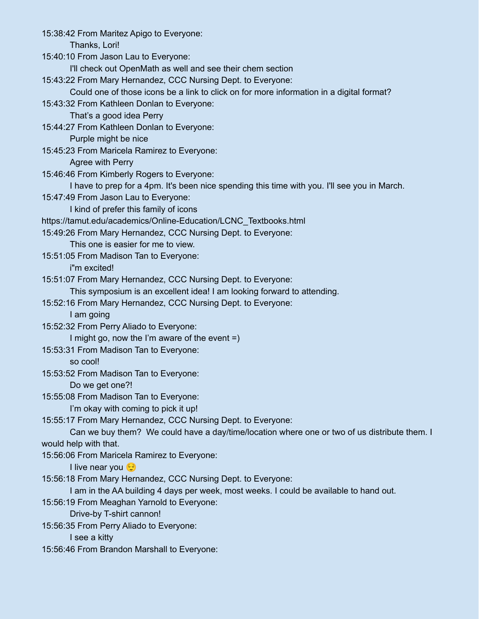15:38:42 From Maritez Apigo to Everyone: Thanks, Lori! 15:40:10 From Jason Lau to Everyone: I'll check out OpenMath as well and see their chem section 15:43:22 From Mary Hernandez, CCC Nursing Dept. to Everyone: Could one of those icons be a link to click on for more information in a digital format? 15:43:32 From Kathleen Donlan to Everyone: That's a good idea Perry 15:44:27 From Kathleen Donlan to Everyone: Purple might be nice 15:45:23 From Maricela Ramirez to Everyone: Agree with Perry 15:46:46 From Kimberly Rogers to Everyone: I have to prep for a 4pm. It's been nice spending this time with you. I'll see you in March. 15:47:49 From Jason Lau to Everyone: I kind of prefer this family of icons https://tamut.edu/academics/Online-Education/LCNC\_Textbooks.html 15:49:26 From Mary Hernandez, CCC Nursing Dept. to Everyone: This one is easier for me to view. 15:51:05 From Madison Tan to Everyone: i"m excited! 15:51:07 From Mary Hernandez, CCC Nursing Dept. to Everyone: This symposium is an excellent idea! I am looking forward to attending. 15:52:16 From Mary Hernandez, CCC Nursing Dept. to Everyone: I am going 15:52:32 From Perry Aliado to Everyone: I might go, now the I'm aware of the event =) 15:53:31 From Madison Tan to Everyone: so cool! 15:53:52 From Madison Tan to Everyone: Do we get one?! 15:55:08 From Madison Tan to Everyone: I'm okay with coming to pick it up! 15:55:17 From Mary Hernandez, CCC Nursing Dept. to Everyone: Can we buy them? We could have a day/time/location where one or two of us distribute them. I would help with that. 15:56:06 From Maricela Ramirez to Everyone: I live near you 15:56:18 From Mary Hernandez, CCC Nursing Dept. to Everyone: I am in the AA building 4 days per week, most weeks. I could be available to hand out. 15:56:19 From Meaghan Yarnold to Everyone: Drive-by T-shirt cannon! 15:56:35 From Perry Aliado to Everyone: I see a kitty 15:56:46 From Brandon Marshall to Everyone: